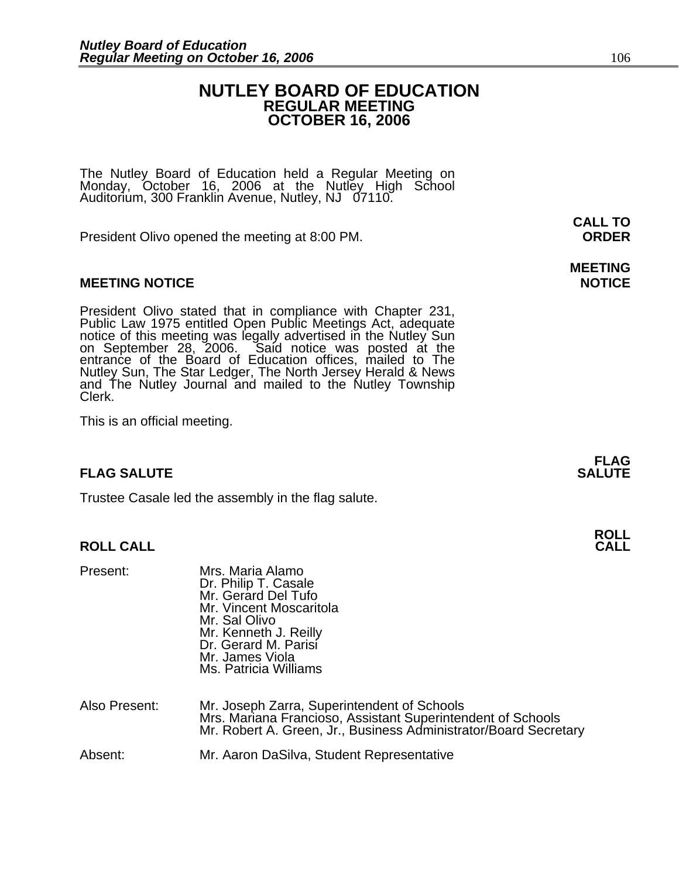### **NUTLEY BOARD OF EDUCATION REGULAR MEETING OCTOBER 16, 2006**

The Nutley Board of Education held a Regular Meeting on Monday, October 16, 2006 at the Nutley High School Auditorium, 300 Franklin Avenue, Nutley, NJ 07110.

President Olivo opened the meeting at 8:00 PM. **ORDER**

### **MEETING NOTICE NOTICE**

President Olivo stated that in compliance with Chapter 231,<br>Public Law 1975 entitled Open Public Meetings Act, adequate<br>notice of this meeting was legally advertised in the Nutley Sun<br>on September 28, 2006. Said notice was Interaction of the Board of Education offices, mailed to The Nutley Sun, The Star Ledger, The North Jersey Herald & News and The Nutley Journal and mailed to the Nutley Township Clerk.

This is an official meeting.

### **FLAG SALUTE** SALUTE SALUTE SALUTE SALUTE SALUTE

Trustee Casale led the assembly in the flag salute.

### **ROLL CALL**

| Present:      | Mrs. Maria Alamo<br>Dr. Philip T. Casale<br>Mr. Gerard Del Tufo<br>Mr. Vincent Moscaritola<br>Mr. Sal Olivo<br>Mr. Kenneth J. Reilly<br>Dr. Gerard M. Parisi<br>Mr. James Viola<br>Ms. Patricia Williams |
|---------------|----------------------------------------------------------------------------------------------------------------------------------------------------------------------------------------------------------|
| Also Present: | Mr. Joseph Zarra, Superintendent of Schools<br>Mrs. Mariana Francioso, Assistant Superintendent of Schools<br>Mr. Robert A. Green, Jr., Business Administrator/Board Secretary                           |
| Absent:       | Mr. Aaron DaSilva, Student Representative                                                                                                                                                                |

**CALL TO** 

## **MEETING**

**FLAG**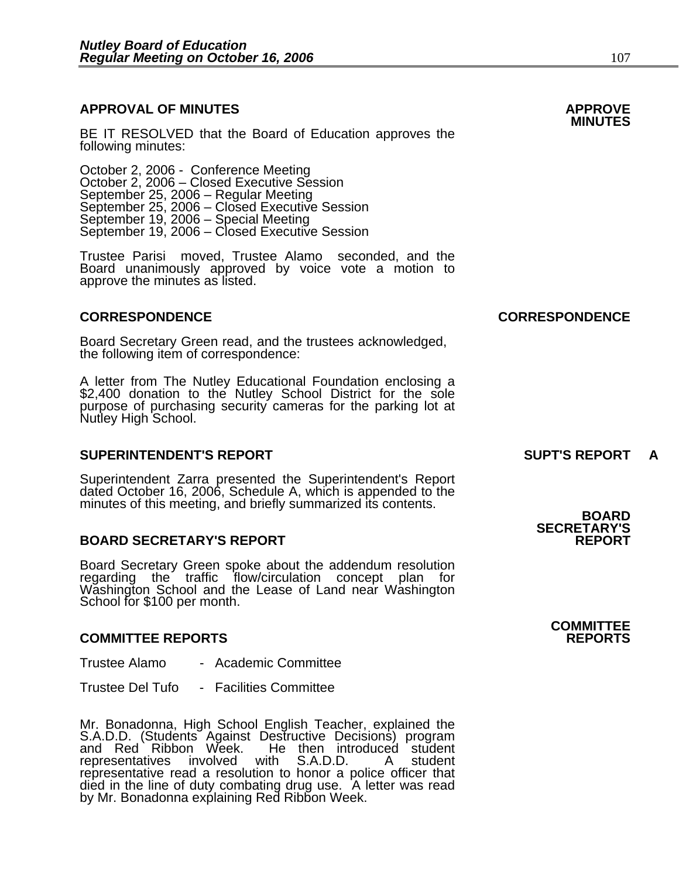#### **APPROVAL OF MINUTES APPROVE**

**BE IT RESOLVED that the Board of Education approves the <b>MINUTES**<br>following minutes:

 October 2, 2006 - Conference Meeting October 2, 2006 – Closed Executive Session September 25, 2006 – Regular Meeting September 25, 2006 – Closed Executive Session September 19, 2006 – Special Meeting September 19, 2006 – Closed Executive Session

> Trustee Parisi moved, Trustee Alamo seconded, and the Board unanimously approved by voice vote a motion to approve the minutes as listed.

#### **CORRESPONDENCE CORRESPONDENCE**

Board Secretary Green read, and the trustees acknowledged, the following item of correspondence:

A letter from The Nutley Educational Foundation enclosing a \$2,400 donation to the Nutley School District for the sole purpose of purchasing security cameras for the parking lot at Nutley High School.

#### **SUPERINTENDENT'S REPORT SUPT'S REPORT A**

Superintendent Zarra presented the Superintendent's Report dated October 16, 2006, Schedule A, which is appended to the minutes of this meeting, and briefly summarized its contents. **BOARD** 

#### **BOARD SECRETARY'S REPORT**

Board Secretary Green spoke about the addendum resolution regarding the traffic flow/circulation concept plan for Washington School and the Lease of Land near Washington School for \$100 per month.

#### **COMMITTEE REPORTS REPORTS**

Trustee Alamo - Academic Committee

Trustee Del Tufo - Facilities Committee

Mr. Bonadonna, High School English Teacher, explained the S.A.D.D. (Students Against Destructive Decisions) program and Red Ribbon Week. He then introduced student representatives involved with S.A.D.D. A student representatives involved with S.A.D.D. A student representative read a resolution to honor a police officer that<br>died in the line of duty combating drug use. A letter was read<br>by Mr. Bonadonna explaining Red Ribbon Week.

# **SECRETARY'S**

**COMMITTEE**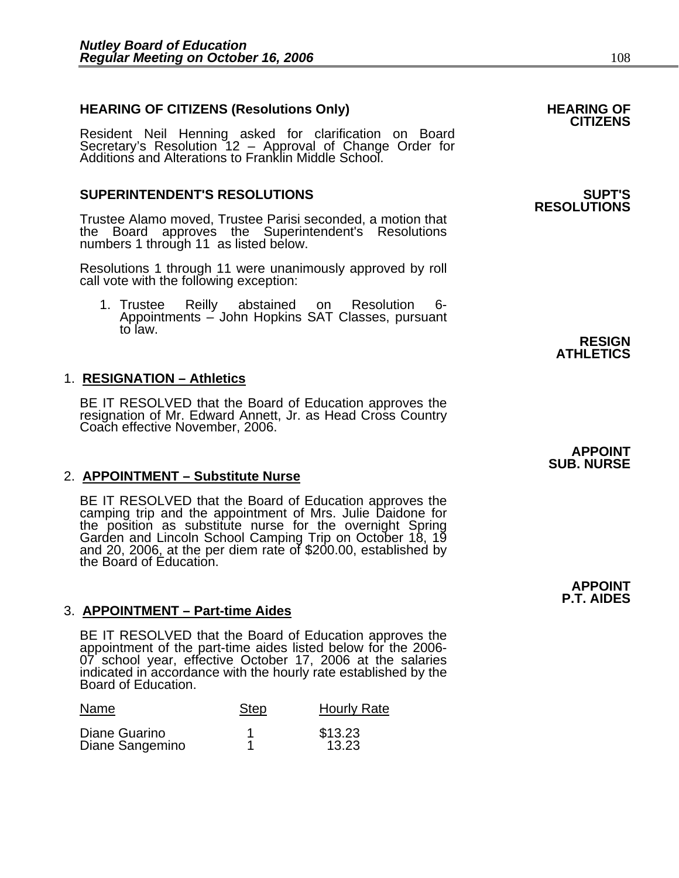## **HEARING OF CITIZENS (Resolutions Only) HEARING OF CITIZENS**

Resident Neil Henning asked for clarification on Board Secretary's Resolution 12 – Approval of Change Order for<br>Additions and Alterations to Franklin Middle School.

### **SUPERINTENDENT'S RESOLUTIONS SUPT'S**

Trustee Alamo moved, Trustee Parisi seconded, a motion that the Board approves the Superintendent's Resolutions numbers 1 through 11 as listed below.

Resolutions 1 through 11 were unanimously approved by roll call vote with the following exception:

1. Trustee Reilly abstained on Resolution 6- Appointments – John Hopkins SAT Classes, pursuant to law.

### 1. **RESIGNATION – Athletics**

BE IT RESOLVED that the Board of Education approves the resignation of Mr. Edward Annett, Jr. as Head Cross Country Coach effective November, 2006.

### 2. **APPOINTMENT – Substitute Nurse**

BE IT RESOLVED that the Board of Education approves the camping trip and the appointment of Mrs. Julie Daidone for the position as substitute nurse for the overnight Spring Garden and Lincoln School Camping Trip on October 18, 19 and 20, 2006, at the per diem rate of \$200.00, established by the Board of Education.

### **P.T. AIDES** 3. **APPOINTMENT – Part-time Aides**

BE IT RESOLVED that the Board of Education approves the appointment of the part-time aides listed below for the 2006-07 school year, effective October 17, 2006 at the salaries indicated in accordance with the hourly rate established by the Board of Education.

| Name                             | <b>Step</b> | <b>Hourly Rate</b> |
|----------------------------------|-------------|--------------------|
| Diane Guarino<br>Diane Sangemino |             | \$13.23<br>13.23   |

## **RESOLUTIONS**

**RESIGN ATHLETICS** 

**APPOINT SUB. NURSE** 

**APPOINT**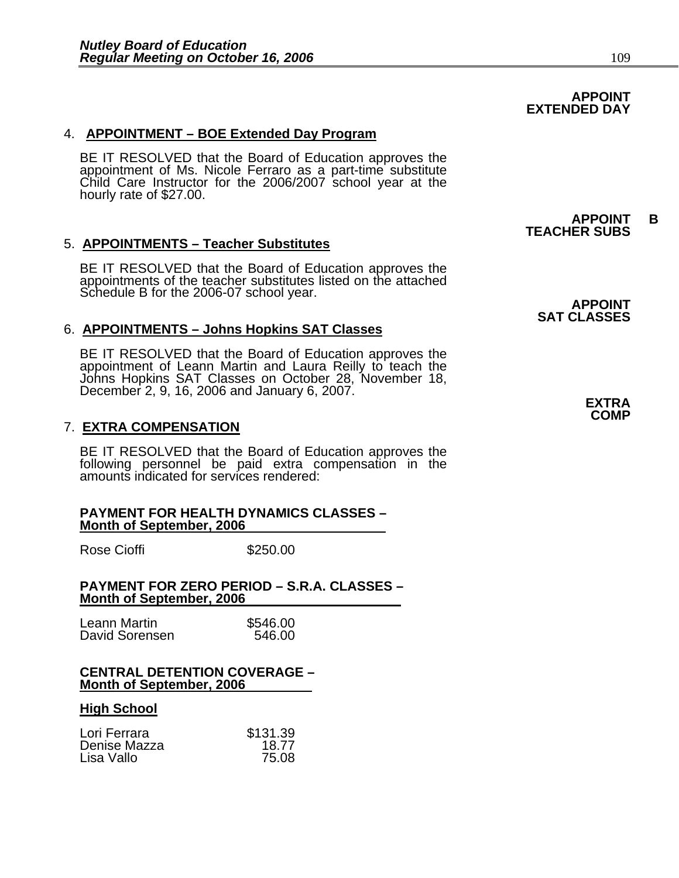### 4. **APPOINTMENT – BOE Extended Day Program**

BE IT RESOLVED that the Board of Education approves the appointment of Ms. Nicole Ferraro as a part-time substitute Child Care Instructor for the 2006/2007 school year at the hourly rate of \$27.00.

#### 5. **APPOINTMENTS – Teacher Substitutes**

BE IT RESOLVED that the Board of Education approves the appointments of the teacher substitutes listed on the attached Schedule B for the 2006-07 school year.<br>**APPOINT** 

#### 6. **APPOINTMENTS – Johns Hopkins SAT Classes**

BE IT RESOLVED that the Board of Education approves the<br>appointment of Leann Martin and Laura Reilly to teach the<br>Johns Hopkins SAT Classes on October 28, November 18, December 2, 9, 16, 2006 and January 6, 2007. **EXTRA** 

#### 7. **EXTRA COMPENSATION**

BE IT RESOLVED that the Board of Education approves the following personnel be paid extra compensation in the amounts indicated for services rendered:

#### **PAYMENT FOR HEALTH DYNAMICS CLASSES – Month of September, 2006**

Rose Cioffi **\$250.00** 

#### **PAYMENT FOR ZERO PERIOD – S.R.A. CLASSES – Month of September, 2006**

| Leann Martin   | \$546.00 |
|----------------|----------|
| David Sorensen | 546.00   |

#### **CENTRAL DETENTION COVERAGE – Month of September, 2006**

#### **High School**

| Lori Ferrara | \$131.39 |
|--------------|----------|
| Denise Mazza | 18.77    |
| Lisa Vallo   | 75.08    |

**TEACHER SUBS** 

**APPOINT B** 

## **SAT CLASSES**

**COMP** 

### **APPOINT EXTENDED DAY**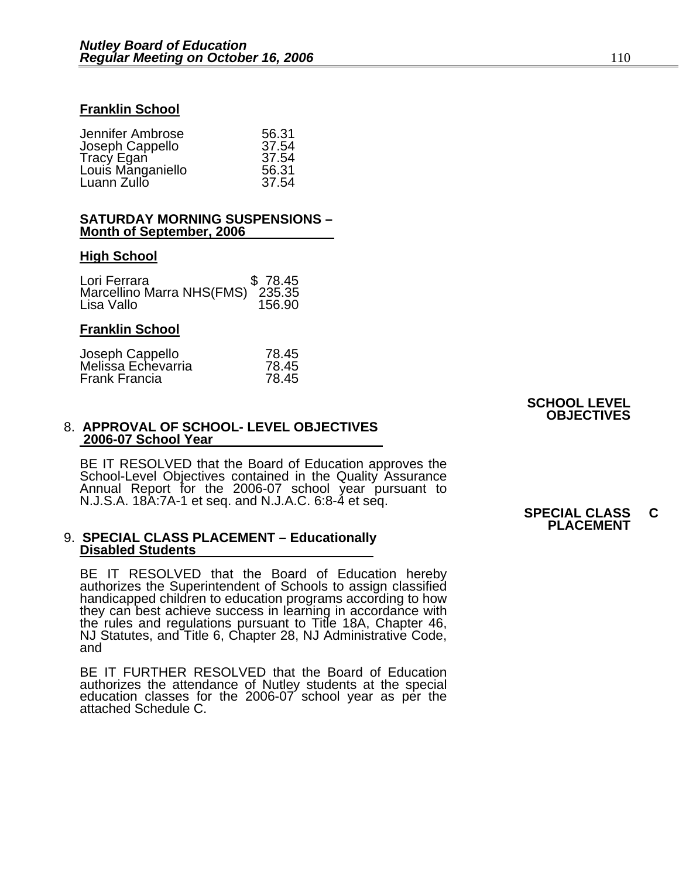#### **Franklin School**

٦

| 56.31 |
|-------|
| 37.54 |
| 37.54 |
| 56.31 |
| 37.54 |
|       |

#### **SATURDAY MORNING SUSPENSIONS – Month of September, 2006**

#### **High School**

| Lori Ferrara                     | \$78.45 |
|----------------------------------|---------|
| Marcellino Marra NHS(FMS) 235.35 |         |
| Lisa Vallo                       | 156.90  |

#### **Franklin School**

| 78.45 |
|-------|
| 78.45 |
| 78.45 |
|       |

#### 8. **APPROVAL OF SCHOOL- LEVEL OBJECTIVES 2006-07 School Year**

BE IT RESOLVED that the Board of Education approves the<br>School-Level Objectives contained in the Quality Assurance<br>Annual Report for the 2006-07 school year pursuant to<br>N.J.S.A. 18A:7A-1 et seq. and N.J.A.C. 6:8-4 et seq.<br>

#### 9. **SPECIAL CLASS PLACEMENT – Educationally Disabled Students**

BE IT RESOLVED that the Board of Education hereby authorizes the Superintendent of Schools to assign classified handicapped children to education programs according to how they can best achieve success in learning in accordance with the rules and regulations pursuant to Title 18A, Chapter 46, NJ Statutes, and Title 6, Chapter 28, NJ Administrative Code, and

BE IT FURTHER RESOLVED that the Board of Education authorizes the attendance of Nutley students at the special education classes for the 2006-07 school year as per the attached Schedule C.

#### **SCHOOL LEVEL OBJECTIVES**

## **PLACEMENT**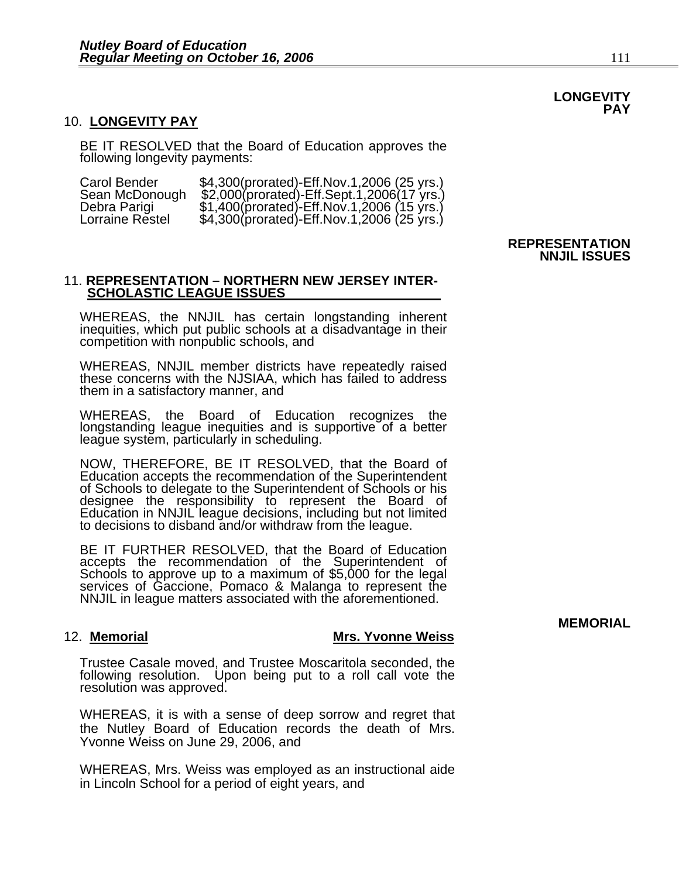#### 10. **LONGEVITY PAY**

BE IT RESOLVED that the Board of Education approves the following longevity payments:

| Carol Bender    |  | \$4,300(prorated)-Eff.Nov.1,2006 (25 yrs.) |  |
|-----------------|--|--------------------------------------------|--|
| Sean McDonough  |  | \$2,000(prorated)-Eff.Sept.1,2006(17 yrs.) |  |
| Debra Parigi    |  | \$1,400(prorated)-Eff.Nov.1,2006 (15 yrs.) |  |
| Lorraine Restel |  | \$4,300(prorated)-Eff.Nov.1,2006 (25 yrs.) |  |

#### 11. **REPRESENTATION – NORTHERN NEW JERSEY INTER- SCHOLASTIC LEAGUE ISSUES**

WHEREAS, the NNJIL has certain longstanding inherent inequities, which put public schools at a disadvantage in their competition with nonpublic schools, and

WHEREAS, NNJIL member districts have repeatedly raised these concerns with the NJSIAA, which has failed to address them in a satisfactory manner, and

WHEREAS, the Board of Education recognizes the longstanding league inequities and is supportive of a better league system, particularly in scheduling.

NOW, THEREFORE, BE IT RESOLVED, that the Board of Education accepts the recommendation of the Superintendent of Schools to delegate to the Superintendent of Schools or his<br>designee the responsibility to represent the Board of<br>Education in NNJIL league decisions, including but not limited<br>to decisions to disband and/or withdraw fr

BE IT FURTHER RESOLVED, that the Board of Education accepts the recommendation of the Superintendent of Schools to approve up to a maximum of \$5,000 for the legal<br>services of Gaccione, Pomaco & Malanga to represent the NNJIL in league matters associated with the aforementioned.

#### 12. **Memorial Mrs. Yvonne Weiss**

Trustee Casale moved, and Trustee Moscaritola seconded, the following resolution. Upon being put to a roll call vote the resolution was approved.

WHEREAS, it is with a sense of deep sorrow and regret that the Nutley Board of Education records the death of Mrs. Yvonne Weiss on June 29, 2006, and

WHEREAS, Mrs. Weiss was employed as an instructional aide in Lincoln School for a period of eight years, and

### **REPRESENTATION NNJIL ISSUES**

**MEMORIAL** 

**LONGEVITY PAY**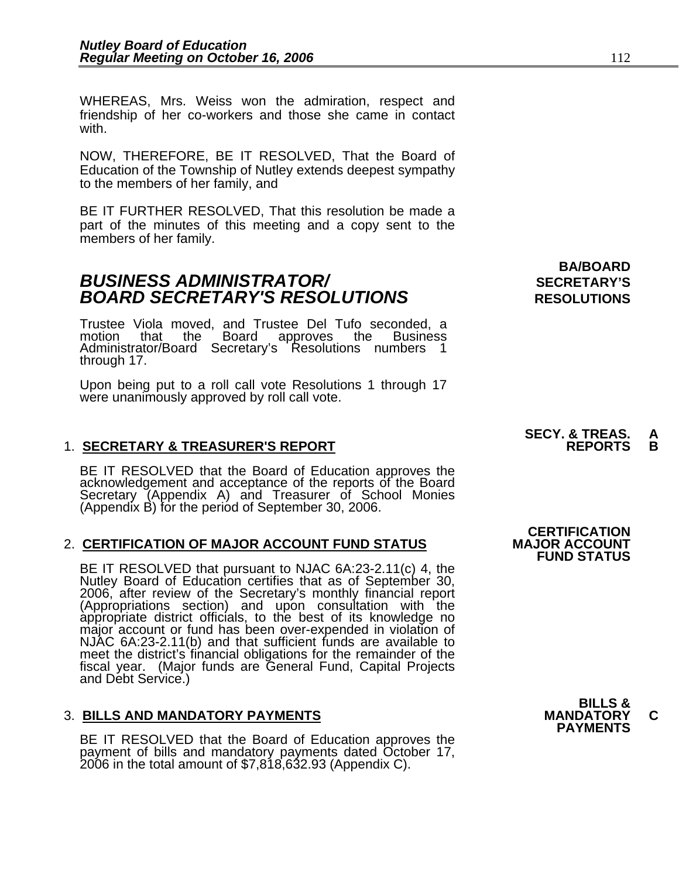NOW, THEREFORE, BE IT RESOLVED, That the Board of Education of the Township of Nutley extends deepest sympathy to the members of her family, and

BE IT FURTHER RESOLVED, That this resolution be made a part of the minutes of this meeting and a copy sent to the members of her family.

### **BUSINESS ADMINISTRATOR/** *BUSINESS ADMINISTRATOR/* **BOARD SECRETARY'S RESOLUTIONS** RESOLUTIONS

Trustee Viola moved, and Trustee Del Tufo seconded, a that the Board approves the Administrator/Board Secretary's Resolutions numbers through 17.

Upon being put to a roll call vote Resolutions 1 through 17 were unanimously approved by roll call vote.

### 1. **SECRETARY & TREASURER'S REPORT**

BE IT RESOLVED that the Board of Education approves the acknowledgement and acceptance of the reports of the Board Secretary (Appendix A) and Treasurer of School Monies (Appendix B) for the period of September 30, 2006.

### 2. **CERTIFICATION OF MAJOR ACCOUNT FUND STATUS**

BE IT RESOLVED that pursuant to NJAC 6A:23-2.11(c) 4, the Nutley Board of Education certifies that as of September 30, 2006, after review of the Secretary's monthly financial report (Appropriations section) and upon consultation with the appropriate district officials, to the best of its knowledge no major account or fund has been over-expended in violation of NJAC 6A:23-2.11(b) and that sufficient fu meet the district's financial obligations for the remainder of the fiscal year. (Major funds are General Fund, Capital Projects and Debt Service.)

3. BILLS AND MANDATORY PAYMENTS<br>
BE IT RESOLVED that the Board of Education approves the **PAYMENTS** payment of bills and mandatory payments dated October 17, 2006 in the total amount of \$7,818,632.93 (Appendix C).

**BA/BOARD** 

**SECY. & TREAS. A** 

**CERTIFICATION<br>MAJOR ACCOUNT FUND STATUS**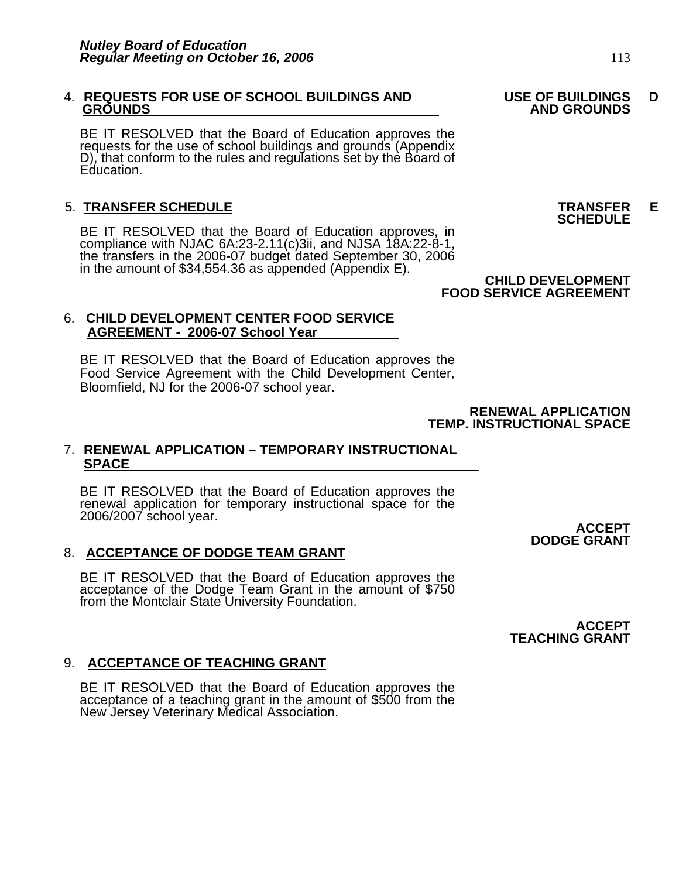## 4. **REQUESTS FOR USE OF SCHOOL BUILDINGS AND USE OF BUILDINGS D**

BE IT RESOLVED that the Board of Education approves the requests for the use of school buildings and grounds (Appendix D), that conform to the rules and regulations set by the Board of Education.

5. **TRANSFER SCHEDULE**<br>**BE IT RESOLVED that the Board of Education approves, in SCHEDULE**<br>**BE IT RESOLVED that the Board of Education approves, in** compliance with NJAC 6A:23-2.11(c)3ii, and NJSA 18A:22-8-1,<br>the transfers in the 2006-07 budget dated September 30, 2006<br>in the amount of \$34,554.36 as appended (Appendix E).<br>**CHILD DEVELOPMENT** 

### 6. **CHILD DEVELOPMENT CENTER FOOD SERVICE AGREEMENT - 2006-07 School Year**

BE IT RESOLVED that the Board of Education approves the Food Service Agreement with the Child Development Center, Bloomfield, NJ for the 2006-07 school year.

> **RENEWAL APPLICATION TEMP. INSTRUCTIONAL SPACE**

#### 7. **RENEWAL APPLICATION – TEMPORARY INSTRUCTIONAL SPACE**

BE IT RESOLVED that the Board of Education approves the<br>renewal application for temporary instructional space for the<br>2006/2007 school year. **ACCEPT** 

### 8. **ACCEPTANCE OF DODGE TEAM GRANT**

BE IT RESOLVED that the Board of Education approves the acceptance of the Dodge Team Grant in the amount of \$750 from the Montclair State University Foundation.

> **ACCEPT TEACHING GRANT**

**DODGE GRANT** 

### 9. **ACCEPTANCE OF TEACHING GRANT**

BE IT RESOLVED that the Board of Education approves the acceptance of a teaching grant in the amount of \$500 from the New Jersey Veterinary Medical Association.

 **GROUNDS AND GROUNDS** 

## **FOOD SERVICE AGREEMENT**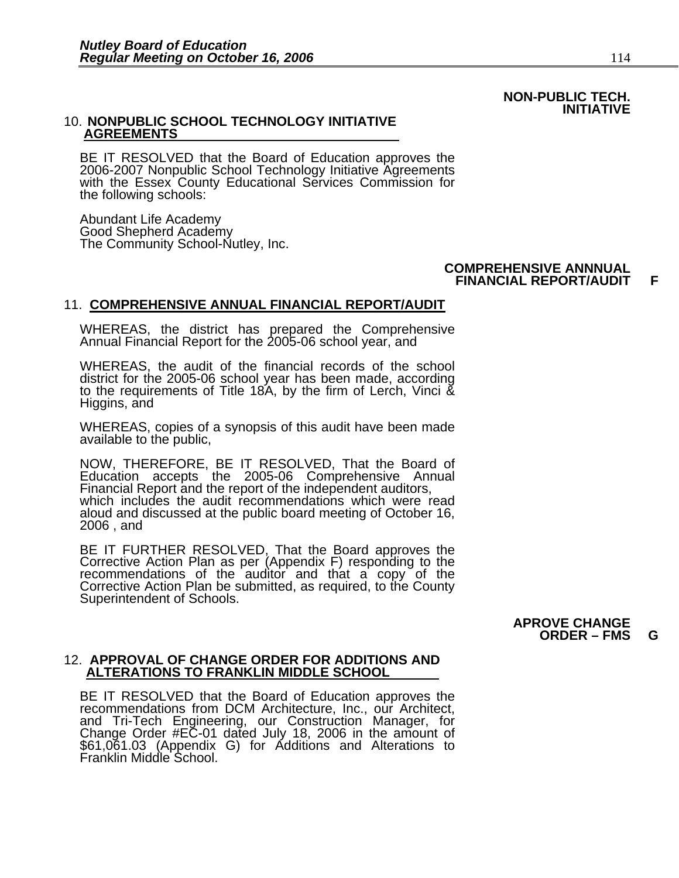#### **NON-PUBLIC TECH. INITIATIVE**

#### 10. **NONPUBLIC SCHOOL TECHNOLOGY INITIATIVE AGREEMENTS**

BE IT RESOLVED that the Board of Education approves the 2006-2007 Nonpublic School Technology Initiative Agreements with the Essex County Educational Services Commission for the following schools:

Abundant Life Academy Good Shepherd Academy The Community School-Nutley, Inc.

#### **COMPREHENSIVE ANNNUAL FINANCIAL REPORT/AUDIT F**

#### 11. **COMPREHENSIVE ANNUAL FINANCIAL REPORT/AUDIT**

WHEREAS, the district has prepared the Comprehensive Annual Financial Report for the 2005-06 school year, and

WHEREAS, the audit of the financial records of the school district for the 2005-06 school year has been made, according to the requirements of Title 18A, by the firm of Lerch, Vinci & Higgins, and

WHEREAS, copies of a synopsis of this audit have been made available to the public,

NOW, THEREFORE, BE IT RESOLVED, That the Board of Education accepts the 2005-06 Comprehensive Annual<br>Financial Report and the report of the independent auditors, which includes the audit recommendations which were read aloud and discussed at the public board meeting of October 16, 2006 , and

BE IT FURTHER RESOLVED, That the Board approves the Corrective Action Plan as per (Appendix F) responding to the recommendations of the auditor and that a copy of the Corrective Action Plan be submitted, as required, to the County Superintendent of Schools.

#### **APROVE CHANGE ORDER – FMS G**

#### 12. **APPROVAL OF CHANGE ORDER FOR ADDITIONS AND ALTERATIONS TO FRANKLIN MIDDLE SCHOOL**

BE IT RESOLVED that the Board of Education approves the recommendations from DCM Architecture, Inc., our Architect, and Tri-Tech Engineering, our Construction Manager, for Change Order #EC-01 dated July 18, 2006 in the amount of \$61,061.03 (Appendix G) for Additions and Alterations to Franklin Middle School.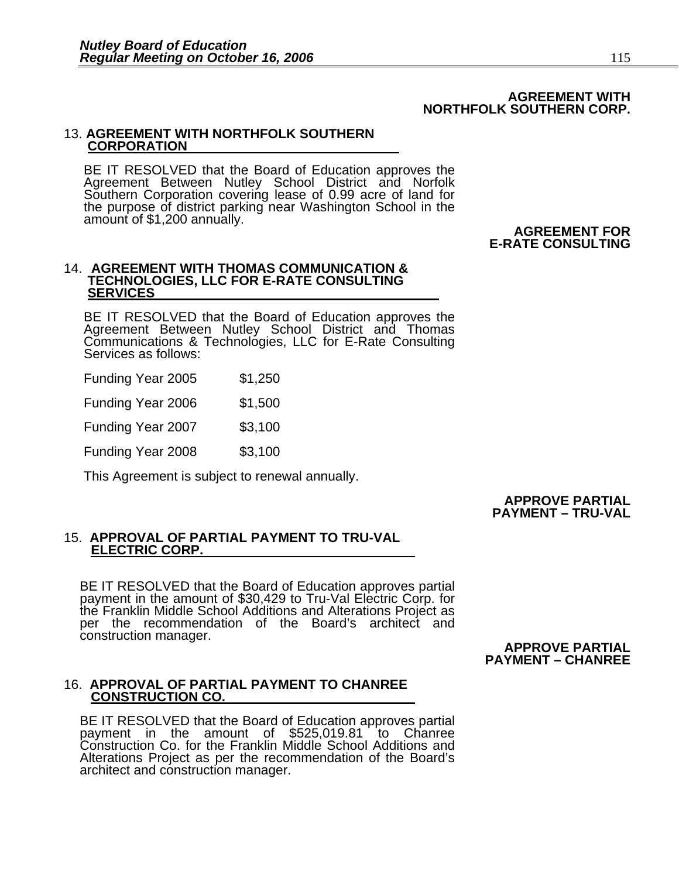#### **AGREEMENT WITH NORTHFOLK SOUTHERN CORP.**

#### 13. **AGREEMENT WITH NORTHFOLK SOUTHERN CORPORATION**

BE IT RESOLVED that the Board of Education approves the Agreement Between Nutley School District and Norfolk Southern Corporation covering lease of 0.99 acre of land for<br>the purpose of district parking near Washington School in the<br>**AGREEMENT FOR**<br>**AGREEMENT FOR** 

 **E-RATE CONSULTING** 

#### 14. **AGREEMENT WITH THOMAS COMMUNICATION & TECHNOLOGIES, LLC FOR E-RATE CONSULTING SERVICES**

BE IT RESOLVED that the Board of Education approves the<br>Agreement Between Nutley School District and Thomas Communications & Technologies, LLC for E-Rate Consulting Services as follows:

Funding Year 2005 \$1,250

Funding Year 2006 \$1,500

**Funding Year 2007 \$3,100** 

Funding Year 2008 \$3,100

This Agreement is subject to renewal annually.

#### **APPROVE PARTIAL PAYMENT – TRU-VAL**

#### 15. **APPROVAL OF PARTIAL PAYMENT TO TRU-VAL ELECTRIC CORP.**

BE IT RESOLVED that the Board of Education approves partial payment in the amount of \$30,429 to Tru-Val Electric Corp. for the Franklin Middle School Additions and Alterations Project as <br>per the recommendation of the Board's architect and construction manager.

 **APPROVE PARTIAL PAYMENT – CHANREE** 

#### 16. **APPROVAL OF PARTIAL PAYMENT TO CHANREE CONSTRUCTION CO.**

BE IT RESOLVED that the Board of Education approves partial payment in the amount of \$525,019.81 to Chanree Construction Co. for the Franklin Middle School Additions and Alterations Project as per the recommendation of the Board's architect and construction manager.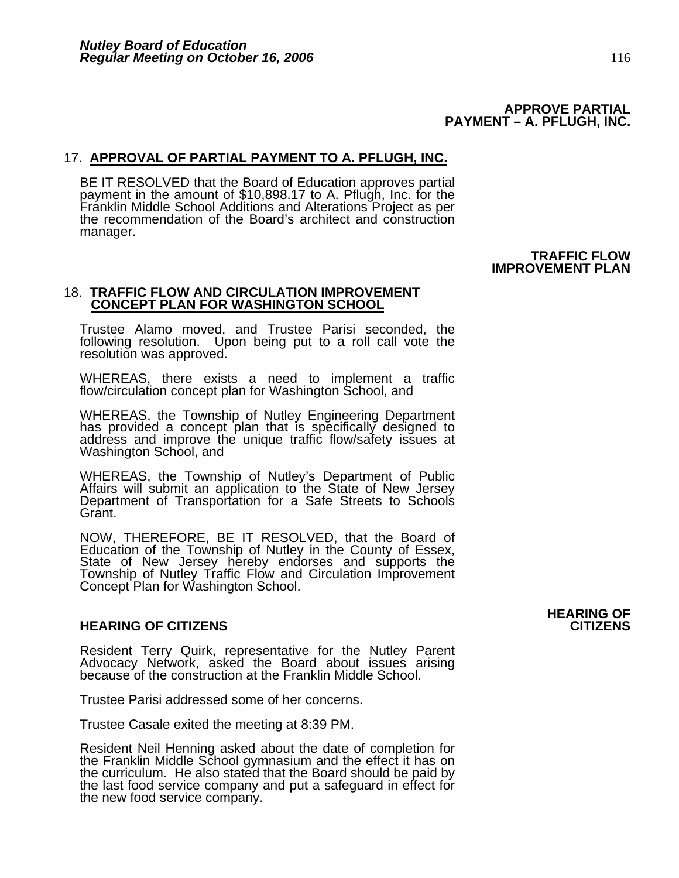#### **APPROVE PARTIAL PAYMENT – A. PFLUGH, INC.**

#### 17. **APPROVAL OF PARTIAL PAYMENT TO A. PFLUGH, INC.**

BE IT RESOLVED that the Board of Education approves partial payment in the amount of \$10,898.17 to A. Pflugh, Inc. for the Franklin Middle School Additions and Alterations Project as per the recommendation of the Board's architect and construction manager.

> **TRAFFIC FLOW IMPROVEMENT PLAN**

#### 18. **TRAFFIC FLOW AND CIRCULATION IMPROVEMENT CONCEPT PLAN FOR WASHINGTON SCHOOL**

Trustee Alamo moved, and Trustee Parisi seconded, the following resolution. Upon being put to a roll call vote the resolution was approved.

WHEREAS, there exists a need to implement a traffic flow/circulation concept plan for Washington School, and

WHEREAS, the Township of Nutley Engineering Department has provided a concept plan that is specifically designed to address and improve the unique traffic flow/safety issues at Washington School, and

WHEREAS, the Township of Nutley's Department of Public<br>Affairs will submit an application to the State of New Jersey Department of Transportation for a Safe Streets to Schools Grant.

NOW, THEREFORE, BE IT RESOLVED, that the Board of Education of the Township of Nutley in the County of Essex, State of New Jersey hereby endorses and supports the Township of Nutley Traffic Flow and Circulation Improvement Concept Plan for Washington School.

#### **HEARING OF CITIZENS CITIZENS**

Resident Terry Quirk, representative for the Nutley Parent<br>Advocacy Network, asked the Board about issues arising<br>because of the construction at the Franklin Middle School.

Trustee Parisi addressed some of her concerns.

Trustee Casale exited the meeting at 8:39 PM.

Resident Neil Henning asked about the date of completion for the Franklin Middle School gymnasium and the effect it has on the curriculum. He also stated that the Board should be paid by the last food service company and put a safeguard in effect for the new food service company.

## **HEARING OF**